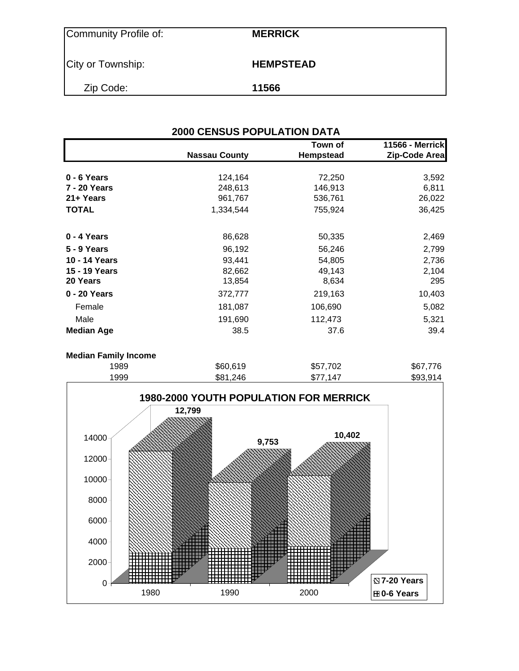| Community Profile of: | <b>MERRICK</b>   |
|-----------------------|------------------|
| City or Township:     | <b>HEMPSTEAD</b> |
| Zip Code:             | 11566            |

| <b>2000 CENSUS POPULATION DATA</b> |                      |                      |                                         |  |  |  |  |  |
|------------------------------------|----------------------|----------------------|-----------------------------------------|--|--|--|--|--|
|                                    | <b>Nassau County</b> | Town of<br>Hempstead | <b>11566 - Merrick</b><br>Zip-Code Area |  |  |  |  |  |
| 0 - 6 Years                        | 124,164              | 72,250               | 3,592                                   |  |  |  |  |  |
| <b>7 - 20 Years</b>                | 248,613              | 146,913              | 6,811                                   |  |  |  |  |  |
| 21+ Years                          | 961,767              | 536,761              | 26,022                                  |  |  |  |  |  |
| <b>TOTAL</b>                       | 1,334,544            | 755,924              | 36,425                                  |  |  |  |  |  |
| 0 - 4 Years                        | 86,628               | 50,335               | 2,469                                   |  |  |  |  |  |
| 5 - 9 Years                        | 96,192               | 56,246               | 2,799                                   |  |  |  |  |  |
| 10 - 14 Years                      | 93,441               | 54,805               | 2,736                                   |  |  |  |  |  |
| 15 - 19 Years<br>20 Years          | 82,662<br>13,854     | 49,143<br>8,634      | 2,104<br>295                            |  |  |  |  |  |
| 0 - 20 Years                       | 372,777              | 219,163              | 10,403                                  |  |  |  |  |  |
| Female                             | 181,087              | 106,690              | 5,082                                   |  |  |  |  |  |
| Male                               | 191,690              | 112,473              | 5,321                                   |  |  |  |  |  |
| <b>Median Age</b>                  | 38.5                 | 37.6                 | 39.4                                    |  |  |  |  |  |

#### **Median Family Income**

| 1989 | \$60,619 | \$57,702 | \$67,776 |
|------|----------|----------|----------|
| 1999 | \$81,246 | \$77.147 | \$93,914 |
|      |          |          |          |

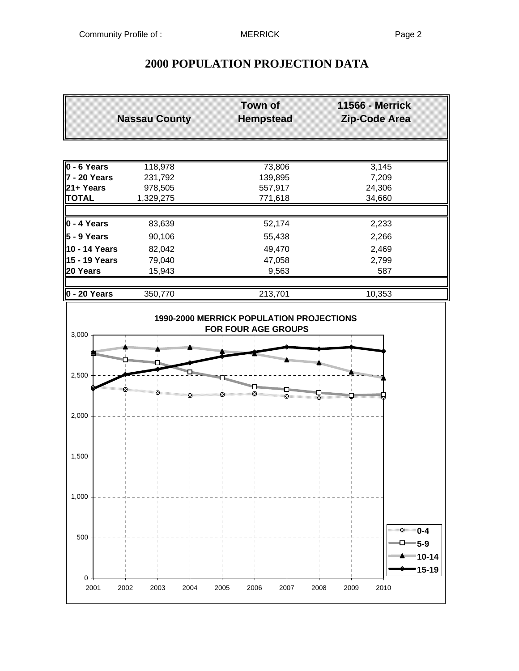# **2000 POPULATION PROJECTION DATA**

|                                      | <b>Nassau County</b> | <b>Town of</b><br><b>Hempstead</b> | 11566 - Merrick<br>Zip-Code Area                                                                                                   |
|--------------------------------------|----------------------|------------------------------------|------------------------------------------------------------------------------------------------------------------------------------|
|                                      |                      |                                    |                                                                                                                                    |
| $0 - 6$ Years<br>118,978             |                      | 73,806                             | 3,145                                                                                                                              |
| $7 - 20$ Years                       | 231,792              | 139,895                            | 7,209                                                                                                                              |
| 21+ Years                            | 978,505              | 557,917                            | 24,306                                                                                                                             |
| <b>TOTAL</b>                         | 1,329,275            | 771,618                            | 34,660                                                                                                                             |
| $0 - 4$ Years                        | 83,639               | 52,174                             | 2,233                                                                                                                              |
| $5 - 9$ Years                        | 90,106               | 55,438                             | 2,266                                                                                                                              |
| 10 - 14 Years                        | 82,042               | 49,470                             | 2,469                                                                                                                              |
| 15 - 19 Years                        | 79,040               | 47,058                             | 2,799                                                                                                                              |
| 20 Years                             | 15,943               | 9,563                              | 587                                                                                                                                |
| $0 - 20$ Years                       | 350,770              | 213,701                            | 10,353                                                                                                                             |
| 3,000                                |                      | FOR FOUR AGE GROUPS                |                                                                                                                                    |
| <b>THE REAL PROPERTY AND INCOME.</b> |                      | m <sub>mmmm</sub>                  |                                                                                                                                    |
| 2,500                                |                      |                                    | November 1979<br>din barang din san din san din san din san din san din san din san din san din san din san din san din san din sa |
|                                      |                      |                                    |                                                                                                                                    |
| 2,000                                |                      |                                    |                                                                                                                                    |
|                                      |                      |                                    |                                                                                                                                    |
| 1,500                                |                      |                                    |                                                                                                                                    |
| 1,000                                |                      |                                    |                                                                                                                                    |
|                                      |                      |                                    | *∡ี 0-4                                                                                                                            |
| 500                                  |                      |                                    | $\Box$ 5-9<br>▲   10-14<br>15-19                                                                                                   |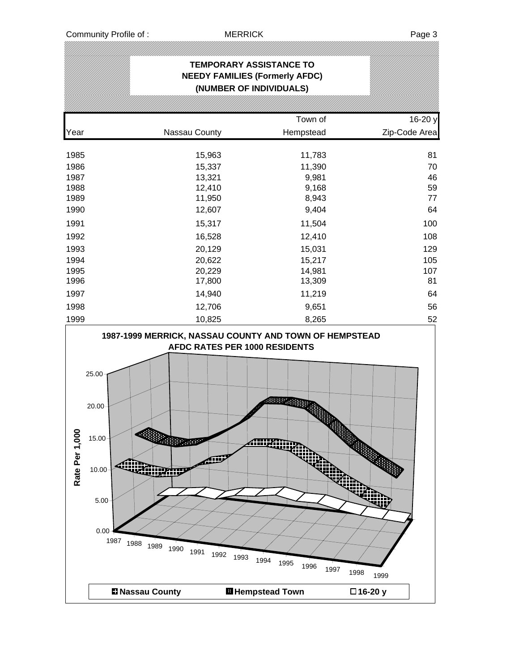|                    |                                                                                                                                   | <b>TEMPORARY ASSISTANCE TO</b><br>(NUMBER OF INDIVIDUALS)      | <b>NEEDY FAMILIES (Formerly AFDC)</b>                    |                         |
|--------------------|-----------------------------------------------------------------------------------------------------------------------------------|----------------------------------------------------------------|----------------------------------------------------------|-------------------------|
|                    |                                                                                                                                   |                                                                |                                                          |                         |
|                    |                                                                                                                                   |                                                                | Town of                                                  | 16-20 y                 |
| Year               |                                                                                                                                   | Nassau County                                                  | Hempstead                                                | Zip-Code Area           |
| 1985               |                                                                                                                                   | 15,963                                                         | 11,783                                                   | 81                      |
| 1986               |                                                                                                                                   | 15,337                                                         | 11,390                                                   | 70                      |
| 1987               |                                                                                                                                   | 13,321                                                         | 9,981                                                    | 46                      |
| 1988               |                                                                                                                                   | 12,410                                                         | 9,168                                                    | 59                      |
| 1989               |                                                                                                                                   | 11,950                                                         | 8,943                                                    | 77                      |
| 1990               |                                                                                                                                   | 12,607                                                         | 9,404                                                    | 64                      |
| 1991               |                                                                                                                                   | 15,317                                                         | 11,504                                                   | 100                     |
| 1992               |                                                                                                                                   | 16,528                                                         | 12,410                                                   | 108                     |
| 1993               |                                                                                                                                   | 20,129                                                         | 15,031                                                   | 129                     |
| 1994               |                                                                                                                                   | 20,622                                                         | 15,217                                                   | 105                     |
| 1995               |                                                                                                                                   | 20,229                                                         | 14,981                                                   | 107                     |
| 1996               |                                                                                                                                   | 17,800                                                         | 13,309                                                   | 81                      |
| 1997               |                                                                                                                                   | 14,940                                                         | 11,219                                                   | 64                      |
| 1998<br>1999       |                                                                                                                                   | 12,706                                                         | 9,651                                                    | 56<br>52                |
| 0<br>Rate Per 1,00 | 25.00<br>$20.00 -$<br>$15.00 -$<br><b>Milliperson</b><br><b>TARD AND</b><br>10.00<br>5.00<br>0.00<br>1987<br>1988<br>1989<br>1990 | AFDC RATES PER 1000 RESIDENTS<br>أأألئ<br>1991<br>1992<br>1993 | 88824<br><b>ATTARTISTS</b><br>wa<br>1994<br>1995<br>1996 | m<br>48<br>1997<br>1998 |
|                    | <b>El Nassau County</b>                                                                                                           |                                                                | <b>El Hempstead Town</b>                                 | 1999<br>□16-20 y        |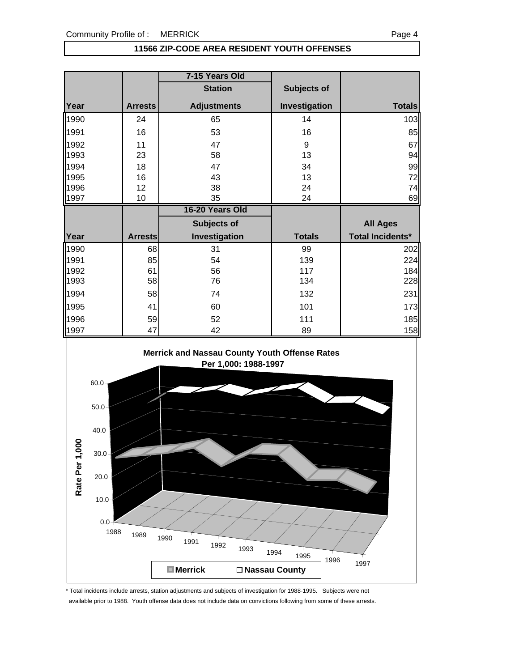#### **11566 ZIP-CODE AREA RESIDENT YOUTH OFFENSES**

|      |                | 7-15 Years Old     |               |                         |
|------|----------------|--------------------|---------------|-------------------------|
|      |                | <b>Station</b>     | Subjects of   |                         |
| Year | <b>Arrests</b> | <b>Adjustments</b> | Investigation | <b>Totals</b>           |
| 1990 | 24             | 65                 | 14            | 103                     |
| 1991 | 16             | 53                 | 16            | 85                      |
| 1992 | 11             | 47                 | 9             | 67                      |
| 1993 | 23             | 58                 | 13            | 94                      |
| 1994 | 18             | 47                 | 34            | 99                      |
| 1995 | 16             | 43                 | 13            | 72                      |
| 1996 | 12             | 38                 | 24            | 74                      |
| 1997 | 10             | 35                 | 24            | 69                      |
|      |                |                    |               |                         |
|      |                | 16-20 Years Old    |               |                         |
|      |                | Subjects of        |               | <b>All Ages</b>         |
| Year | <b>Arrests</b> | Investigation      | <b>Totals</b> | <b>Total Incidents*</b> |
| 1990 | 68             | 31                 | 99            | 202                     |
| 1991 | 85             | 54                 | 139           | 224                     |
| 1992 | 61             | 56                 | 117           | 184                     |
| 1993 | 58             | 76                 | 134           | 228                     |
| 1994 | 58             | 74                 | 132           | 231                     |
| 1995 | 41             | 60                 | 101           | 173                     |
| 1996 | 59             | 52                 | 111           | 185                     |



\* Total incidents include arrests, station adjustments and subjects of investigation for 1988-1995. Subjects were not available prior to 1988. Youth offense data does not include data on convictions following from some of these arrests.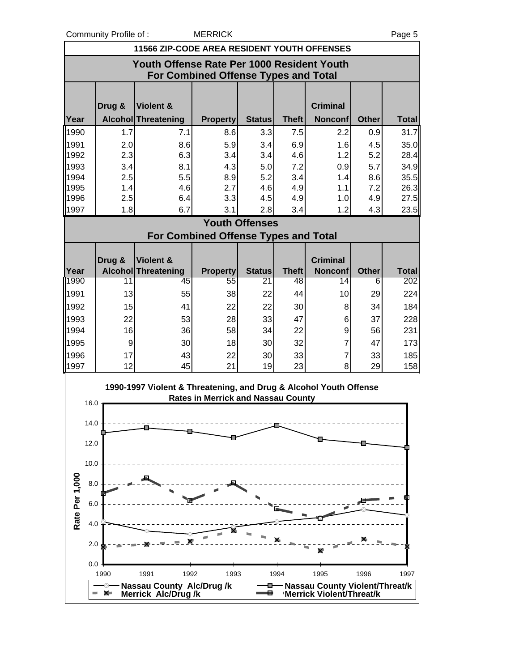Community Profile of : MERRICK Page 5

|                | <b>11566 ZIP-CODE AREA RESIDENT YOUTH OFFENSES</b>                                        |        |                                                                   |                                           |                       |                    |                                       |                   |                     |
|----------------|-------------------------------------------------------------------------------------------|--------|-------------------------------------------------------------------|-------------------------------------------|-----------------------|--------------------|---------------------------------------|-------------------|---------------------|
|                | Youth Offense Rate Per 1000 Resident Youth<br><b>For Combined Offense Types and Total</b> |        |                                                                   |                                           |                       |                    |                                       |                   |                     |
|                |                                                                                           |        |                                                                   |                                           |                       |                    |                                       |                   |                     |
| Year           |                                                                                           | Drug & | Violent &<br>Alcohol Threatening                                  | <b>Property</b>                           | <b>Status</b>         | <b>Theft</b>       | <b>Criminal</b><br><b>Nonconf</b>     | <b>Other</b>      | <b>Total</b>        |
| 1990           |                                                                                           | 1.7    | 7.1                                                               | 8.6                                       | 3.3                   | 7.5                | 2.2                                   | 0.9               | 31.7                |
| 1991           |                                                                                           | 2.0    | 8.6                                                               | 5.9                                       | 3.4                   | 6.9                | 1.6                                   | 4.5               | 35.0                |
| 1992           |                                                                                           | 2.3    | 6.3                                                               | 3.4                                       | 3.4                   | 4.6                | 1.2                                   | 5.2               | 28.4                |
| 1993           |                                                                                           | 3.4    | 8.1                                                               | 4.3                                       | 5.0                   | 7.2                | 0.9                                   | 5.7               | 34.9                |
| 1994           |                                                                                           | 2.5    | 5.5                                                               | 8.9                                       | 5.2                   | 3.4                | 1.4                                   | 8.6               | 35.5                |
| 1995           |                                                                                           | 1.4    | 4.6                                                               | 2.7                                       | 4.6                   | 4.9                | 1.1                                   | 7.2               | 26.3                |
| 1996           |                                                                                           | 2.5    | 6.4                                                               | 3.3                                       | 4.5                   | 4.9                | 1.0                                   | 4.9               | 27.5                |
| 1997           |                                                                                           | 1.8    | 6.7                                                               | 3.1                                       | 2.8                   | 3.4                | 1.2                                   | 4.3               | 23.5                |
|                |                                                                                           |        |                                                                   |                                           | <b>Youth Offenses</b> |                    |                                       |                   |                     |
|                |                                                                                           |        | <b>For Combined Offense Types and Total</b>                       |                                           |                       |                    |                                       |                   |                     |
|                |                                                                                           |        |                                                                   |                                           |                       |                    |                                       |                   |                     |
|                |                                                                                           | Drug & | Violent &                                                         |                                           |                       |                    | <b>Criminal</b>                       |                   |                     |
| Year<br>1990   |                                                                                           | 11     | <b>Alcohol Threatening</b><br>45                                  | <b>Property</b><br>55                     | <b>Status</b><br>21   | <b>Theft</b><br>48 | <b>Nonconf</b><br>14                  | <b>Other</b><br>6 | <b>Total</b><br>202 |
|                |                                                                                           |        |                                                                   |                                           |                       |                    |                                       |                   |                     |
| 1991           |                                                                                           | 13     | 55                                                                | 38                                        | 22                    | 44                 | 10                                    | 29                | 224                 |
| 1992           |                                                                                           | 15     | 41                                                                | 22                                        | 22                    | 30                 | 8                                     | 34                | 184                 |
| 1993           |                                                                                           | 22     | 53                                                                | 28                                        | 33                    | 47                 | 6                                     | 37                | 228                 |
| 1994           |                                                                                           | 16     | 36                                                                | 58                                        | 34                    | 22                 | 9                                     | 56                | 231                 |
| 1995           |                                                                                           | 9      | 30                                                                | 18                                        | 30                    | 32                 | 7                                     | 47                | 173                 |
| 1996           |                                                                                           | 17     | 43                                                                | 22                                        | 30                    | 33                 | $\overline{7}$                        | 33                | 185                 |
| 1997           |                                                                                           | 12     | 45                                                                | 21                                        | 19                    | 23                 | 8                                     | 29                | 158                 |
|                |                                                                                           |        | 1990-1997 Violent & Threatening, and Drug & Alcohol Youth Offense |                                           |                       |                    |                                       |                   |                     |
|                | 16.0                                                                                      |        |                                                                   | <b>Rates in Merrick and Nassau County</b> |                       |                    |                                       |                   |                     |
|                |                                                                                           |        |                                                                   |                                           |                       |                    |                                       |                   |                     |
|                | 14.0                                                                                      |        |                                                                   |                                           |                       |                    |                                       |                   |                     |
|                | 12.0                                                                                      |        |                                                                   |                                           |                       |                    |                                       |                   |                     |
|                |                                                                                           |        |                                                                   |                                           |                       |                    |                                       |                   |                     |
|                | 10.0                                                                                      |        |                                                                   |                                           |                       |                    |                                       |                   |                     |
|                |                                                                                           |        |                                                                   |                                           |                       |                    |                                       |                   |                     |
|                | 8.0                                                                                       |        |                                                                   |                                           |                       |                    |                                       |                   |                     |
|                | 6.0                                                                                       |        |                                                                   |                                           |                       |                    |                                       |                   |                     |
| Rate Per 1,000 |                                                                                           |        |                                                                   |                                           |                       |                    |                                       |                   |                     |
|                | 4.0                                                                                       |        |                                                                   |                                           |                       |                    |                                       |                   |                     |
|                |                                                                                           |        |                                                                   |                                           |                       |                    |                                       |                   |                     |
|                | 2.0                                                                                       |        |                                                                   |                                           |                       |                    |                                       |                   |                     |
|                | 0.0                                                                                       |        |                                                                   |                                           |                       |                    |                                       |                   |                     |
|                |                                                                                           | 1990   | 1991<br>1992                                                      | 1993                                      |                       | 1994               | 1995                                  | 1996              | 1997                |
|                |                                                                                           |        | <b>Nassau County Alc/Drug/k</b>                                   |                                           |                       |                    | <b>Nassau County Violent/Threat/k</b> |                   |                     |
|                |                                                                                           | X.     | Merrick Alc/Drug/k                                                |                                           |                       |                    | 'Merrick Violent/Threat/k             |                   |                     |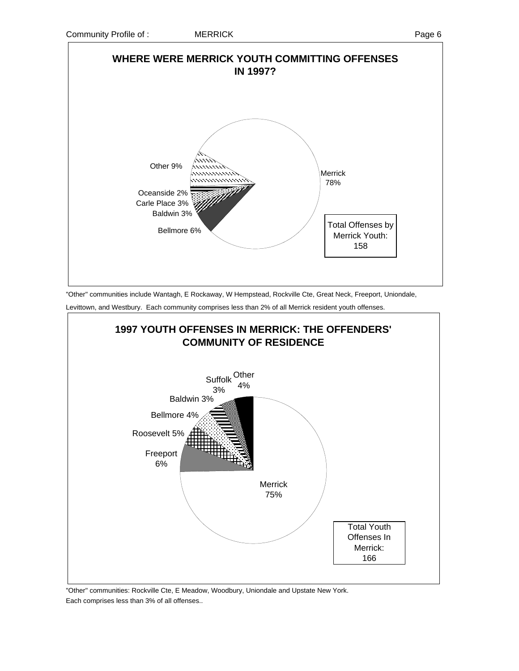

"Other" communities include Wantagh, E Rockaway, W Hempstead, Rockville Cte, Great Neck, Freeport, Uniondale,

Levittown, and Westbury. Each community comprises less than 2% of all Merrick resident youth offenses.



"Other" communities: Rockville Cte, E Meadow, Woodbury, Uniondale and Upstate New York. Each comprises less than 3% of all offenses..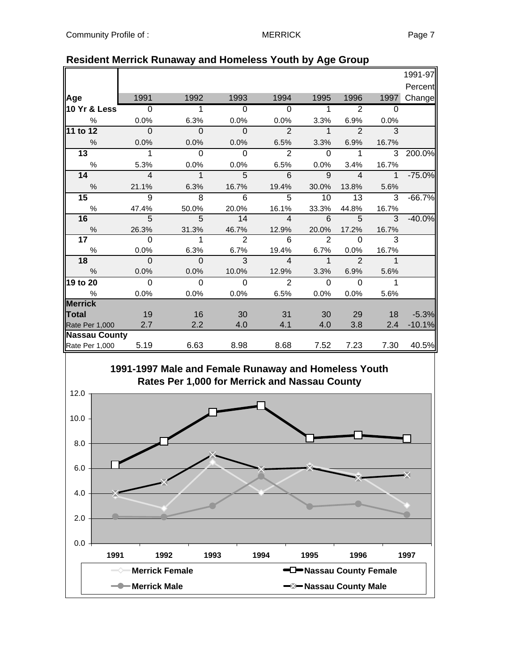|                      |                |                |                |                |              |                |                | 1991-97  |
|----------------------|----------------|----------------|----------------|----------------|--------------|----------------|----------------|----------|
|                      |                |                |                |                |              |                |                | Percent  |
| Age                  | 1991           | 1992           | 1993           | 1994           | 1995         | 1996           | 1997           | Change   |
| 10 Yr & Less         | $\overline{0}$ | 1              | $\overline{0}$ | $\overline{0}$ | 1            | $\overline{2}$ | $\Omega$       |          |
| $\%$                 | 0.0%           | 6.3%           | 0.0%           | 0.0%           | 3.3%         | 6.9%           | 0.0%           |          |
| 11 to 12             | $\overline{0}$ | $\Omega$       | $\overline{0}$ | $\overline{2}$ | $\mathbf{1}$ | $\overline{2}$ | 3              |          |
| $\frac{0}{0}$        | 0.0%           | 0.0%           | 0.0%           | 6.5%           | 3.3%         | 6.9%           | 16.7%          |          |
| $\overline{13}$      | 1              | $\Omega$       | $\Omega$       | 2              | $\Omega$     | 1              | 3              | 200.0%   |
| $\%$                 | 5.3%           | 0.0%           | 0.0%           | 6.5%           | 0.0%         | 3.4%           | 16.7%          |          |
| 14                   | $\overline{4}$ | $\overline{1}$ | 5              | 6              | 9            | $\overline{4}$ | $\mathbf{1}$   | $-75.0%$ |
| $\%$                 | 21.1%          | 6.3%           | 16.7%          | 19.4%          | 30.0%        | 13.8%          | 5.6%           |          |
| 15                   | 9              | 8              | 6              | 5              | 10           | 13             | 3              | $-66.7%$ |
| $\%$                 | 47.4%          | 50.0%          | 20.0%          | 16.1%          | 33.3%        | 44.8%          | 16.7%          |          |
| 16                   | 5              | 5              | 14             | $\overline{4}$ | 6            | 5              | $\overline{3}$ | $-40.0%$ |
| $\%$                 | 26.3%          | 31.3%          | 46.7%          | 12.9%          | 20.0%        | 17.2%          | 16.7%          |          |
| 17                   | $\Omega$       | 1              | $\overline{2}$ | 6              | 2            | $\Omega$       | 3              |          |
| $\%$                 | 0.0%           | 6.3%           | 6.7%           | 19.4%          | 6.7%         | 0.0%           | 16.7%          |          |
| 18                   | $\mathbf{0}$   | $\mathbf 0$    | 3              | $\overline{4}$ | $\mathbf{1}$ | $\overline{2}$ | $\mathbf 1$    |          |
| $\frac{0}{6}$        | 0.0%           | 0.0%           | 10.0%          | 12.9%          | 3.3%         | 6.9%           | 5.6%           |          |
| 19 to 20             | $\Omega$       | $\Omega$       | $\mathbf 0$    | 2              | $\Omega$     | $\Omega$       | 1              |          |
| $\frac{0}{0}$        | 0.0%           | 0.0%           | 0.0%           | 6.5%           | 0.0%         | 0.0%           | 5.6%           |          |
| <b>Merrick</b>       |                |                |                |                |              |                |                |          |
| Total                | 19             | 16             | 30             | 31             | 30           | 29             | 18             | $-5.3%$  |
| Rate Per 1,000       | 2.7            | 2.2            | 4.0            | 4.1            | 4.0          | 3.8            | 2.4            | $-10.1%$ |
| <b>Nassau County</b> |                |                |                |                |              |                |                |          |
| Rate Per 1,000       | 5.19           | 6.63           | 8.98           | 8.68           | 7.52         | 7.23           | 7.30           | 40.5%    |

### **Resident Merrick Runaway and Homeless Youth by Age Group**

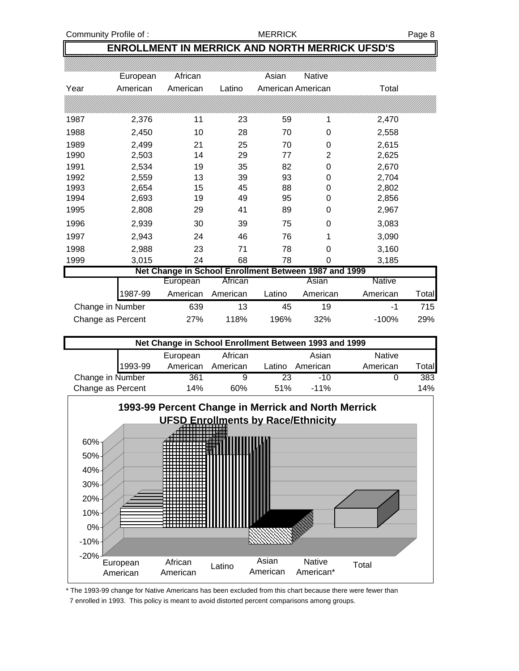Community Profile of : The MERRICK Research of the MERRICK Research Page 8

#### **ENROLLMENT IN MERRICK AND NORTH MERRICK UFSD'S**

|      | European          | African                                               |          | Asian             | <b>Native</b>  |               |       |
|------|-------------------|-------------------------------------------------------|----------|-------------------|----------------|---------------|-------|
| Year | American          | American                                              | Latino   | American American |                | Total         |       |
|      |                   |                                                       |          |                   |                |               |       |
| 1987 | 2,376             | 11                                                    | 23       | 59                | 1              | 2,470         |       |
| 1988 | 2,450             | 10                                                    | 28       | 70                | 0              | 2,558         |       |
| 1989 | 2,499             | 21                                                    | 25       | 70                | 0              | 2,615         |       |
| 1990 | 2,503             | 14                                                    | 29       | 77                | $\overline{2}$ | 2,625         |       |
| 1991 | 2,534             | 19                                                    | 35       | 82                | 0              | 2,670         |       |
| 1992 | 2,559             | 13                                                    | 39       | 93                | 0              | 2,704         |       |
| 1993 | 2,654             | 15                                                    | 45       | 88                | 0              | 2,802         |       |
| 1994 | 2,693             | 19                                                    | 49       | 95                | 0              | 2,856         |       |
| 1995 | 2,808             | 29                                                    | 41       | 89                | 0              | 2,967         |       |
| 1996 | 2,939             | 30                                                    | 39       | 75                | 0              | 3,083         |       |
| 1997 | 2,943             | 24                                                    | 46       | 76                | 1              | 3,090         |       |
| 1998 | 2,988             | 23                                                    | 71       | 78                | 0              | 3,160         |       |
| 1999 | 3,015             | 24                                                    | 68       | 78                | 0              | 3,185         |       |
|      |                   | Net Change in School Enrollment Between 1987 and 1999 |          |                   |                |               |       |
|      |                   | European                                              | African  |                   | Asian          | <b>Native</b> |       |
|      | 1987-99           | American                                              | American | Latino            | American       | American      | Total |
|      | Change in Number  | 639                                                   | 13       | 45                | 19             | -1            | 715   |
|      | Change as Percent | 27%                                                   | 118%     | 196%              | 32%            | $-100%$       | 29%   |

| Net Change in School Enrollment Between 1993 and 1999 |         |          |          |        |          |               |                |  |  |
|-------------------------------------------------------|---------|----------|----------|--------|----------|---------------|----------------|--|--|
|                                                       |         | European | African  |        | Asian    | <b>Native</b> |                |  |  |
|                                                       | 1993-99 | American | American | Latino | American | American      | ™otal <b>i</b> |  |  |
| Change in Number                                      |         | 361      |          | 23     | $-10$    |               | 383            |  |  |
| Change as Percent                                     |         | 14%      | 60%      | 51%    | $-11%$   |               | 14%            |  |  |



\* The 1993-99 change for Native Americans has been excluded from this chart because there were fewer than

7 enrolled in 1993. This policy is meant to avoid distorted percent comparisons among groups.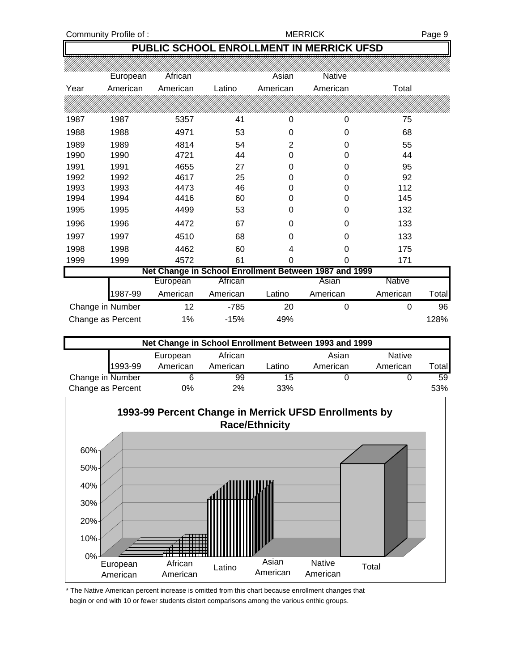#### Community Profile of : The Community Profile of : The MERRICK Page 9

## **PUBLIC SCHOOL ENROLLMENT IN MERRICK UFSD**

|      | European          | African  |          | Asian          | Native                                                |               |       |
|------|-------------------|----------|----------|----------------|-------------------------------------------------------|---------------|-------|
| Year | American          | American | Latino   | American       | American                                              | Total         |       |
|      |                   |          |          |                |                                                       |               |       |
| 1987 | 1987              | 5357     | 41       | 0              | 0                                                     | 75            |       |
| 1988 | 1988              | 4971     | 53       | 0              | 0                                                     | 68            |       |
| 1989 | 1989              | 4814     | 54       | $\overline{2}$ | 0                                                     | 55            |       |
| 1990 | 1990              | 4721     | 44       | 0              | 0                                                     | 44            |       |
| 1991 | 1991              | 4655     | 27       | $\Omega$       | 0                                                     | 95            |       |
| 1992 | 1992              | 4617     | 25       | 0              | 0                                                     | 92            |       |
| 1993 | 1993              | 4473     | 46       | 0              | 0                                                     | 112           |       |
| 1994 | 1994              | 4416     | 60       | 0              | 0                                                     | 145           |       |
| 1995 | 1995              | 4499     | 53       | 0              | 0                                                     | 132           |       |
| 1996 | 1996              | 4472     | 67       | 0              | $\Omega$                                              | 133           |       |
| 1997 | 1997              | 4510     | 68       | 0              | 0                                                     | 133           |       |
| 1998 | 1998              | 4462     | 60       | 4              | 0                                                     | 175           |       |
| 1999 | 1999              | 4572     | 61       | 0              | 0                                                     | 171           |       |
|      |                   |          |          |                | Net Change in School Enrollment Between 1987 and 1999 |               |       |
|      |                   | European | African  |                | Asian                                                 | <b>Native</b> |       |
|      | 1987-99           | American | American | Latino         | American                                              | American      | Total |
|      | Change in Number  | 12       | $-785$   | 20             | 0                                                     | $\Omega$      | 96    |
|      | Change as Percent | $1\%$    | $-15%$   | 49%            |                                                       |               | 128%  |

| Net Change in School Enrollment Between 1993 and 1999 |          |          |        |          |               |       |  |  |  |
|-------------------------------------------------------|----------|----------|--------|----------|---------------|-------|--|--|--|
|                                                       | European | African  |        | Asian    | <b>Native</b> |       |  |  |  |
| 1993-99                                               | American | American | Latino | American | American      | Total |  |  |  |
| Change in Number                                      | 6        | 99       | 15     |          |               | 59    |  |  |  |
| Change as Percent                                     | 0%       | 2%       | 33%    |          |               | 53%   |  |  |  |



\* The Native American percent increase is omitted from this chart because enrollment changes that begin or end with 10 or fewer students distort comparisons among the various enthic groups.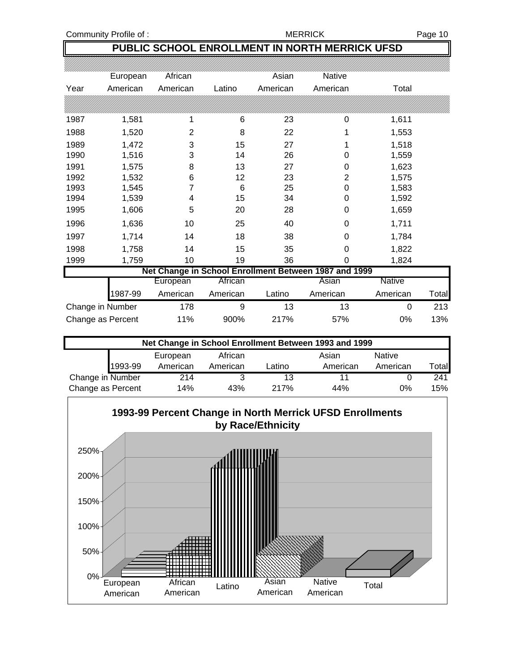Community Profile of : The Community Profile of : The MERRICK Page 10

# **PUBLIC SCHOOL ENROLLMENT IN NORTH MERRICK UFSD**

|                   | European | African        |          | Asian    | Native                                                |               |       |
|-------------------|----------|----------------|----------|----------|-------------------------------------------------------|---------------|-------|
| Year              | American | American       | Latino   | American | American                                              | Total         |       |
|                   |          |                |          |          |                                                       |               |       |
| 1987              | 1,581    | 1              | 6        | 23       | 0                                                     | 1,611         |       |
| 1988              | 1,520    | $\overline{2}$ | 8        | 22       |                                                       | 1,553         |       |
| 1989              | 1,472    | 3              | 15       | 27       |                                                       | 1,518         |       |
| 1990              | 1,516    | 3              | 14       | 26       | 0                                                     | 1,559         |       |
| 1991              | 1,575    | 8              | 13       | 27       | 0                                                     | 1,623         |       |
| 1992              | 1,532    | 6              | 12       | 23       | 2                                                     | 1,575         |       |
| 1993              | 1,545    | 7              | 6        | 25       | 0                                                     | 1,583         |       |
| 1994              | 1,539    | 4              | 15       | 34       | 0                                                     | 1,592         |       |
| 1995              | 1,606    | 5              | 20       | 28       | 0                                                     | 1,659         |       |
| 1996              | 1,636    | 10             | 25       | 40       | 0                                                     | 1,711         |       |
| 1997              | 1,714    | 14             | 18       | 38       | 0                                                     | 1,784         |       |
| 1998              | 1,758    | 14             | 15       | 35       | 0                                                     | 1,822         |       |
| 1999              | 1,759    | 10             | 19       | 36       | 0                                                     | 1,824         |       |
|                   |          |                |          |          | Net Change in School Enrollment Between 1987 and 1999 |               |       |
|                   |          | European       | African  |          | Asian                                                 | <b>Native</b> |       |
|                   | 1987-99  | American       | American | Latino   | American                                              | American      | Total |
| Change in Number  |          | 178            | 9        | 13       | 13                                                    | $\Omega$      | 213   |
| Change as Percent |          | 11%            | 900%     | 217%     | 57%                                                   | 0%            | 13%   |

| Net Change in School Enrollment Between 1993 and 1999 |                                        |          |        |          |          |              |  |  |  |
|-------------------------------------------------------|----------------------------------------|----------|--------|----------|----------|--------------|--|--|--|
|                                                       | Native<br>African<br>Asian<br>European |          |        |          |          |              |  |  |  |
| 1993-99                                               | American                               | American | Latino | American | American | <b>Total</b> |  |  |  |
| Change in Number                                      | 214                                    | 3        | 13     |          |          | 241          |  |  |  |
| Change as Percent<br>217%<br>0%<br>14%<br>43%<br>44%  |                                        |          |        |          |          | 15%          |  |  |  |

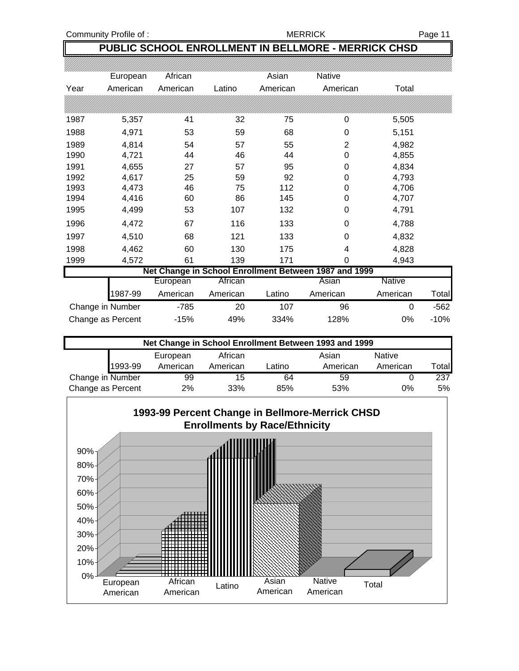Community Profile of : The Community Profile of : The MERRICK Page 11

# **PUBLIC SCHOOL ENROLLMENT IN BELLMORE - MERRICK CHSD**

|                   | European | African  |          | Asian    | Native                                                |               |        |
|-------------------|----------|----------|----------|----------|-------------------------------------------------------|---------------|--------|
| Year              | American | American | Latino   | American | American                                              | Total         |        |
|                   |          |          |          |          |                                                       |               |        |
| 1987              | 5,357    | 41       | 32       | 75       | 0                                                     | 5,505         |        |
| 1988              | 4,971    | 53       | 59       | 68       | 0                                                     | 5,151         |        |
| 1989              | 4,814    | 54       | 57       | 55       | $\overline{2}$                                        | 4,982         |        |
| 1990              | 4,721    | 44       | 46       | 44       | $\boldsymbol{0}$                                      | 4,855         |        |
| 1991              | 4,655    | 27       | 57       | 95       | 0                                                     | 4,834         |        |
| 1992              | 4,617    | 25       | 59       | 92       | 0                                                     | 4,793         |        |
| 1993              | 4,473    | 46       | 75       | 112      | 0                                                     | 4,706         |        |
| 1994              | 4,416    | 60       | 86       | 145      | 0                                                     | 4,707         |        |
| 1995              | 4,499    | 53       | 107      | 132      | 0                                                     | 4,791         |        |
| 1996              | 4,472    | 67       | 116      | 133      | 0                                                     | 4,788         |        |
| 1997              | 4,510    | 68       | 121      | 133      | 0                                                     | 4,832         |        |
| 1998              | 4,462    | 60       | 130      | 175      | 4                                                     | 4,828         |        |
| 1999              | 4,572    | 61       | 139      | 171      | 0                                                     | 4,943         |        |
|                   |          |          |          |          | Net Change in School Enrollment Between 1987 and 1999 |               |        |
|                   |          | European | African  |          | Asian                                                 | <b>Native</b> |        |
|                   | 1987-99  | American | American | Latino   | American                                              | American      | Total  |
| Change in Number  |          | $-785$   | 20       | 107      | 96                                                    | 0             | $-562$ |
| Change as Percent |          | $-15%$   | 49%      | 334%     | 128%                                                  | 0%            | $-10%$ |

| Net Change in School Enrollment Between 1993 and 1999 |          |          |        |          |          |       |  |  |  |
|-------------------------------------------------------|----------|----------|--------|----------|----------|-------|--|--|--|
| Native<br>African<br>Asian<br>European                |          |          |        |          |          |       |  |  |  |
| 1993-99                                               | American | American | Latino | American | American | Total |  |  |  |
| Change in Number                                      | 99       | 15       | 64     | 59       |          | 237   |  |  |  |
| Change as Percent<br>2%<br>33%<br>0%<br>85%<br>53%    |          |          |        |          |          | 5%    |  |  |  |

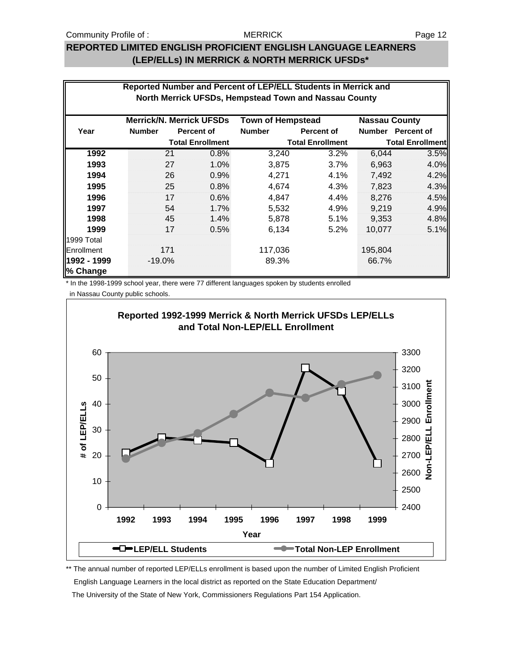### **REPORTED LIMITED ENGLISH PROFICIENT ENGLISH LANGUAGE LEARNERS (LEP/ELLs) IN MERRICK & NORTH MERRICK UFSDs\***

|                         | Reported Number and Percent of LEP/ELL Students in Merrick and<br>North Merrick UFSDs, Hempstead Town and Nassau County |     |                                 |                          |                         |                      |                         |
|-------------------------|-------------------------------------------------------------------------------------------------------------------------|-----|---------------------------------|--------------------------|-------------------------|----------------------|-------------------------|
|                         |                                                                                                                         |     | <b>Merrick/N. Merrick UFSDs</b> | <b>Town of Hempstead</b> |                         | <b>Nassau County</b> |                         |
| Year                    | <b>Number</b>                                                                                                           |     | <b>Percent of</b>               | <b>Number</b>            | <b>Percent of</b>       |                      | Number Percent of       |
|                         |                                                                                                                         |     | <b>Total Enrollment</b>         |                          | <b>Total Enrollment</b> |                      | <b>Total Enrollment</b> |
| 1992                    |                                                                                                                         | 21  | 0.8%                            | 3,240                    | 3.2%                    | 6,044                | 3.5%                    |
| 1993                    |                                                                                                                         | 27  | 1.0%                            | 3,875                    | 3.7%                    | 6,963                | 4.0%                    |
| 1994                    |                                                                                                                         | 26  | 0.9%                            | 4,271                    | 4.1%                    | 7,492                | 4.2%                    |
| 1995                    |                                                                                                                         | 25  | 0.8%                            | 4,674                    | 4.3%                    | 7,823                | 4.3%                    |
| 1996                    |                                                                                                                         | 17  | 0.6%                            | 4.847                    | $4.4\%$                 | 8.276                | 4.5%                    |
| 1997                    |                                                                                                                         | 54  | 1.7%                            | 5,532                    | 4.9%                    | 9,219                | 4.9%                    |
| 1998                    |                                                                                                                         | 45  | 1.4%                            | 5,878                    | 5.1%                    | 9,353                | 4.8%                    |
| 1999                    |                                                                                                                         | 17  | 0.5%                            | 6,134                    | 5.2%                    | 10,077               | 5.1%                    |
| 1999 Total              |                                                                                                                         |     |                                 |                          |                         |                      |                         |
| Enrollment              |                                                                                                                         | 171 |                                 | 117,036                  |                         | 195,804              |                         |
| 1992 - 1999<br>% Change | $-19.0%$                                                                                                                |     |                                 | 89.3%                    |                         | 66.7%                |                         |

\* In the 1998-1999 school year, there were 77 different languages spoken by students enrolled

in Nassau County public schools.



\*\* The annual number of reported LEP/ELLs enrollment is based upon the number of Limited English Proficient English Language Learners in the local district as reported on the State Education Department/ The University of the State of New York, Commissioners Regulations Part 154 Application.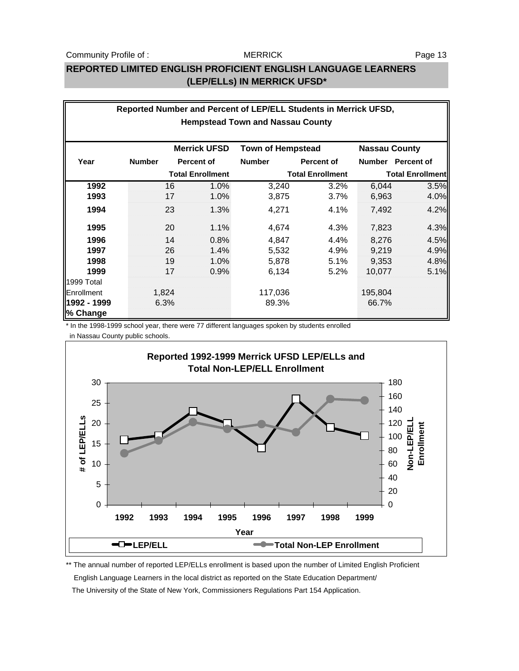### **REPORTED LIMITED ENGLISH PROFICIENT ENGLISH LANGUAGE LEARNERS (LEP/ELLs) IN MERRICK UFSD\***

|                                         | Reported Number and Percent of LEP/ELL Students in Merrick UFSD, |       |                         |                          |                         |                      |                         |  |  |  |
|-----------------------------------------|------------------------------------------------------------------|-------|-------------------------|--------------------------|-------------------------|----------------------|-------------------------|--|--|--|
| <b>Hempstead Town and Nassau County</b> |                                                                  |       |                         |                          |                         |                      |                         |  |  |  |
|                                         |                                                                  |       |                         |                          |                         |                      |                         |  |  |  |
|                                         |                                                                  |       | <b>Merrick UFSD</b>     | <b>Town of Hempstead</b> |                         | <b>Nassau County</b> |                         |  |  |  |
| Year                                    | <b>Number</b>                                                    |       | <b>Percent of</b>       | <b>Number</b>            | <b>Percent of</b>       |                      | Number Percent of       |  |  |  |
|                                         |                                                                  |       | <b>Total Enrollment</b> |                          | <b>Total Enrollment</b> |                      | <b>Total Enrollment</b> |  |  |  |
| 1992                                    |                                                                  | 16    | 1.0%                    | 3,240                    | 3.2%                    | 6,044                | 3.5%                    |  |  |  |
| 1993                                    |                                                                  | 17    | 1.0%                    | 3,875                    | 3.7%                    | 6,963                | 4.0%                    |  |  |  |
| 1994                                    |                                                                  | 23    | 1.3%                    | 4.271                    | 4.1%                    | 7,492                | 4.2%                    |  |  |  |
| 1995                                    |                                                                  | 20    | $1.1\%$                 | 4,674                    | 4.3%                    | 7,823                | 4.3%                    |  |  |  |
| 1996                                    |                                                                  | 14    | 0.8%                    | 4,847                    | 4.4%                    | 8,276                | 4.5%                    |  |  |  |
| 1997                                    |                                                                  | 26    | 1.4%                    | 5,532                    | 4.9%                    | 9,219                | 4.9%                    |  |  |  |
| 1998                                    |                                                                  | 19    | 1.0%                    | 5,878                    | 5.1%                    | 9,353                | 4.8%                    |  |  |  |
| 1999                                    |                                                                  | 17    | 0.9%                    | 6,134                    | 5.2%                    | 10,077               | 5.1%                    |  |  |  |
| 1999 Total                              |                                                                  |       |                         |                          |                         |                      |                         |  |  |  |
| Enrollment                              |                                                                  | 1,824 |                         | 117,036                  |                         | 195,804              |                         |  |  |  |
| 1992 - 1999                             |                                                                  | 6.3%  |                         | 89.3%                    |                         | 66.7%                |                         |  |  |  |
| % Change                                |                                                                  |       |                         |                          |                         |                      |                         |  |  |  |

\* In the 1998-1999 school year, there were 77 different languages spoken by students enrolled

in Nassau County public schools.



\*\* The annual number of reported LEP/ELLs enrollment is based upon the number of Limited English Proficient English Language Learners in the local district as reported on the State Education Department/ The University of the State of New York, Commissioners Regulations Part 154 Application.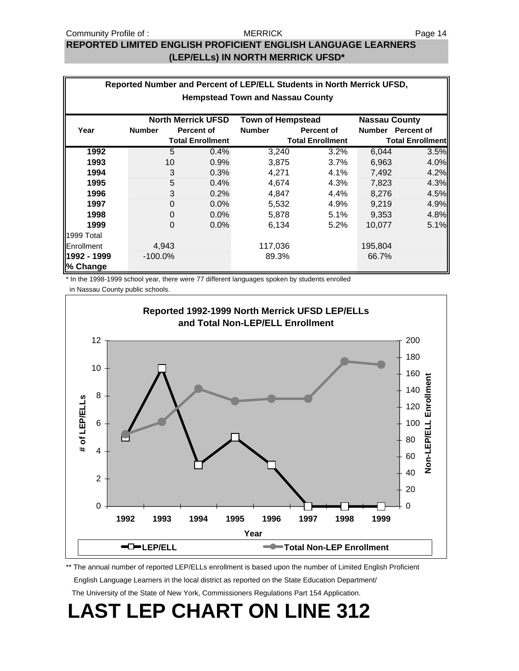#### MERRICK

# **REPORTED LIMITED ENGLISH PROFICIENT ENGLISH LANGUAGE LEARNERS (LEP/ELLs) IN NORTH MERRICK UFSD\***

|                                         | Reported Number and Percent of LEP/ELL Students in North Merrick UFSD,        |             |                         |               |                         |               |                         |  |  |  |
|-----------------------------------------|-------------------------------------------------------------------------------|-------------|-------------------------|---------------|-------------------------|---------------|-------------------------|--|--|--|
| <b>Hempstead Town and Nassau County</b> |                                                                               |             |                         |               |                         |               |                         |  |  |  |
|                                         | <b>North Merrick UFSD</b><br><b>Nassau County</b><br><b>Town of Hempstead</b> |             |                         |               |                         |               |                         |  |  |  |
| Year                                    | <b>Number</b>                                                                 |             | <b>Percent of</b>       | <b>Number</b> | <b>Percent of</b>       | <b>Number</b> | <b>Percent of</b>       |  |  |  |
|                                         |                                                                               |             | <b>Total Enrollment</b> |               | <b>Total Enrollment</b> |               | <b>Total Enrollment</b> |  |  |  |
| 1992                                    |                                                                               | 5           | 0.4%                    | 3,240         | 3.2%                    | 6,044         | 3.5%                    |  |  |  |
| 1993                                    |                                                                               | 10          | 0.9%                    | 3,875         | 3.7%                    | 6,963         | 4.0%                    |  |  |  |
| 1994                                    |                                                                               | 3           | 0.3%                    | 4,271         | 4.1%                    | 7,492         | 4.2%                    |  |  |  |
| 1995                                    |                                                                               | 5           | 0.4%                    | 4,674         | 4.3%                    | 7,823         | 4.3%                    |  |  |  |
| 1996                                    |                                                                               | 3           | 0.2%                    | 4,847         | 4.4%                    | 8,276         | 4.5%                    |  |  |  |
| 1997                                    |                                                                               | $\Omega$    | $0.0\%$                 | 5,532         | 4.9%                    | 9.219         | 4.9%                    |  |  |  |
| 1998                                    |                                                                               | $\mathbf 0$ | $0.0\%$                 | 5,878         | 5.1%                    | 9,353         | 4.8%                    |  |  |  |
| 1999                                    |                                                                               | $\Omega$    | 0.0%                    | 6,134         | 5.2%                    | 10,077        | 5.1%                    |  |  |  |
| 1999 Total                              |                                                                               |             |                         |               |                         |               |                         |  |  |  |
| Enrollment                              |                                                                               | 4,943       |                         | 117,036       |                         | 195,804       |                         |  |  |  |
| 1992 - 1999                             | $-100.0%$                                                                     |             |                         | 89.3%         |                         | 66.7%         |                         |  |  |  |
| % Change                                |                                                                               |             |                         |               |                         |               |                         |  |  |  |

\* In the 1998-1999 school year, there were 77 different languages spoken by students enrolled

in Nassau County public schools.



\*\* The annual number of reported LEP/ELLs enrollment is based upon the number of Limited English Proficient English Language Learners in the local district as reported on the State Education Department/ The University of the State of New York, Commissioners Regulations Part 154 Application.

# **LAST LEP CHART ON LINE 312**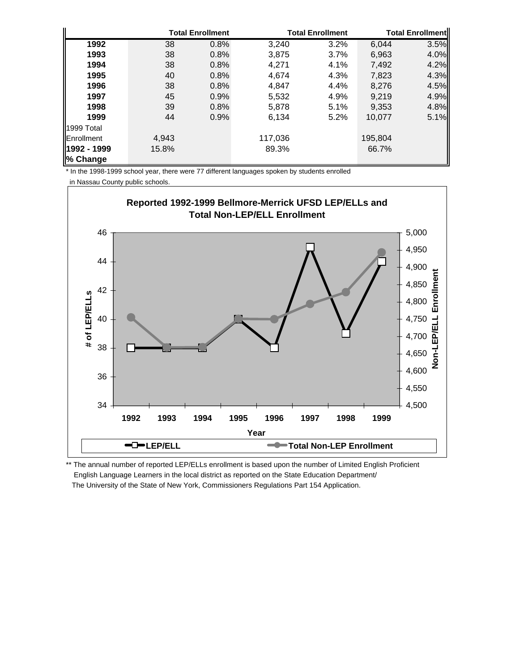|                    |       | <b>Total Enrollment</b> |         | <b>Total Enrollment</b> |         | <b>Total Enrollmentl</b> |
|--------------------|-------|-------------------------|---------|-------------------------|---------|--------------------------|
| 1992               | 38    | 0.8%                    | 3,240   | 3.2%                    | 6,044   | 3.5%                     |
| 1993               | 38    | 0.8%                    | 3,875   | 3.7%                    | 6,963   | 4.0%                     |
| 1994               | 38    | 0.8%                    | 4.271   | 4.1%                    | 7,492   | 4.2%                     |
| 1995               | 40    | 0.8%                    | 4.674   | 4.3%                    | 7,823   | 4.3%                     |
| 1996               | 38    | 0.8%                    | 4.847   | 4.4%                    | 8,276   | 4.5%                     |
| 1997               | 45    | 0.9%                    | 5,532   | 4.9%                    | 9,219   | 4.9%                     |
| 1998               | 39    | 0.8%                    | 5,878   | 5.1%                    | 9,353   | 4.8%                     |
| 1999               | 44    | 0.9%                    | 6,134   | 5.2%                    | 10,077  | 5.1%                     |
| 1999 Total         |       |                         |         |                         |         |                          |
| <b>IEnrollment</b> | 4,943 |                         | 117,036 |                         | 195,804 |                          |
| 1992 - 1999        | 15.8% |                         | 89.3%   |                         | 66.7%   |                          |
| % Change           |       |                         |         |                         |         |                          |

\* In the 1998-1999 school year, there were 77 different languages spoken by students enrolled

in Nassau County public schools.



\*\* The annual number of reported LEP/ELLs enrollment is based upon the number of Limited English Proficient English Language Learners in the local district as reported on the State Education Department/ The University of the State of New York, Commissioners Regulations Part 154 Application.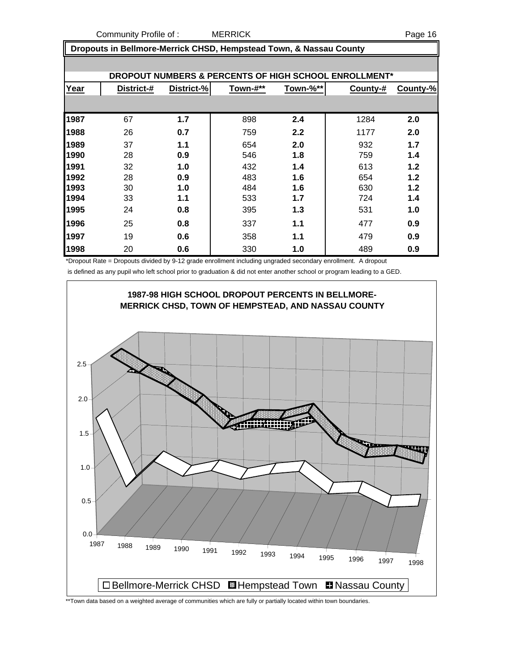Community Profile of : MERRICK Page 16

 **Dropouts in Bellmore-Merrick CHSD, Hempstead Town, & Nassau County**

|      | <b>DROPOUT NUMBERS &amp; PERCENTS OF HIGH SCHOOL ENROLLMENT*</b> |            |          |          |          |          |  |  |  |  |
|------|------------------------------------------------------------------|------------|----------|----------|----------|----------|--|--|--|--|
| Year | District-#                                                       | District-% | Town-#** | Town-%** | County-# | County-% |  |  |  |  |
|      |                                                                  |            |          |          |          |          |  |  |  |  |
| 1987 | 67                                                               | 1.7        | 898      | 2.4      | 1284     | 2.0      |  |  |  |  |
| 1988 | 26                                                               | 0.7        | 759      | 2.2      | 1177     | 2.0      |  |  |  |  |
| 1989 | 37                                                               | 1.1        | 654      | 2.0      | 932      | 1.7      |  |  |  |  |
| 1990 | 28                                                               | 0.9        | 546      | 1.8      | 759      | 1.4      |  |  |  |  |
| 1991 | 32                                                               | 1.0        | 432      | 1.4      | 613      | 1.2      |  |  |  |  |
| 1992 | 28                                                               | 0.9        | 483      | 1.6      | 654      | 1.2      |  |  |  |  |
| 1993 | 30                                                               | 1.0        | 484      | 1.6      | 630      | 1.2      |  |  |  |  |
| 1994 | 33                                                               | 1.1        | 533      | 1.7      | 724      | 1.4      |  |  |  |  |
| 1995 | 24                                                               | 0.8        | 395      | 1.3      | 531      | 1.0      |  |  |  |  |
| 1996 | 25                                                               | 0.8        | 337      | 1.1      | 477      | 0.9      |  |  |  |  |
| 1997 | 19                                                               | 0.6        | 358      | 1.1      | 479      | 0.9      |  |  |  |  |
| 1998 | 20                                                               | 0.6        | 330      | 1.0      | 489      | 0.9      |  |  |  |  |

\*Dropout Rate = Dropouts divided by 9-12 grade enrollment including ungraded secondary enrollment. A dropout

is defined as any pupil who left school prior to graduation & did not enter another school or program leading to a GED.



\*\*Town data based on a weighted average of communities which are fully or partially located within town boundaries.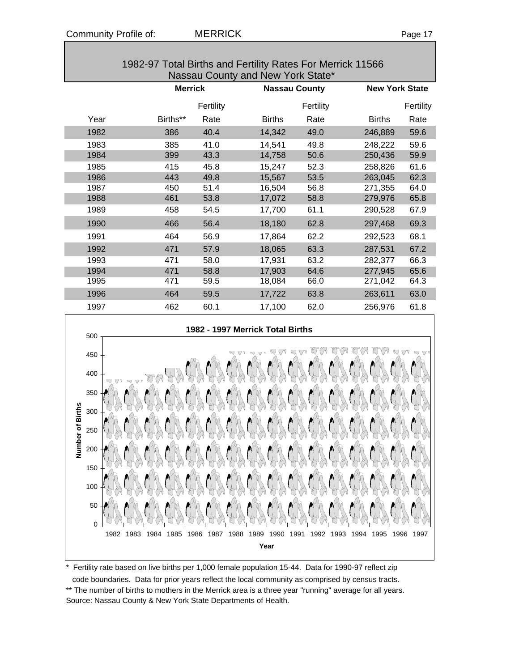| 1982-97 Total Births and Fertility Rates For Merrick 11566<br>Nassau County and New York State* |          |           |                        |      |               |      |  |  |
|-------------------------------------------------------------------------------------------------|----------|-----------|------------------------|------|---------------|------|--|--|
| <b>Merrick</b><br><b>Nassau County</b><br><b>New York State</b>                                 |          |           |                        |      |               |      |  |  |
|                                                                                                 |          | Fertility | Fertility<br>Fertility |      |               |      |  |  |
| Year                                                                                            | Births** | Rate      | <b>Births</b>          | Rate | <b>Births</b> | Rate |  |  |
| 1982                                                                                            | 386      | 40.4      | 14.342                 | 49.0 | 246,889       | 59.6 |  |  |
| 1983                                                                                            | 385      | 41.0      | 14,541                 | 49.8 | 248,222       | 59.6 |  |  |
| 1984                                                                                            | 399      | 43.3      | 14,758                 | 50.6 | 250,436       | 59.9 |  |  |
| 1985                                                                                            | 415      | 45.8      | 15.247                 | 52.3 | 258,826       | 61.6 |  |  |

| 1982-97 Total Births and Fertility Rates For Merrick 11566 |
|------------------------------------------------------------|
| Nassau County and New York State*                          |

1986 443 49.8 15,567 53.5 263,045 62.3 1987 450 51.4 16,504 56.8 271,355 64.0 1988 461 53.8 17,072 58.8 279,976 65.8 1989 458 54.5 17,700 61.1 290,528 67.9 1990 466 56.4 18,180 62.8 297,468 69.3 1991 464 56.9 17,864 62.2 292,523 68.1 1992 471 57.9 18,065 63.3 287,531 67.2 1993 471 58.0 17,931 63.2 282,377 66.3 1994 471 58.8 17,903 64.6 277,945 65.6 1995 471 59.5 18,084 66.0 271,042 64.3 1996 464 59.5 17,722 63.8 263,611 63.0



Fertility rate based on live births per 1,000 female population 15-44. Data for 1990-97 reflect zip code boundaries. Data for prior years reflect the local community as comprised by census tracts. \*\* The number of births to mothers in the Merrick area is a three year "running" average for all years. Source: Nassau County & New York State Departments of Health.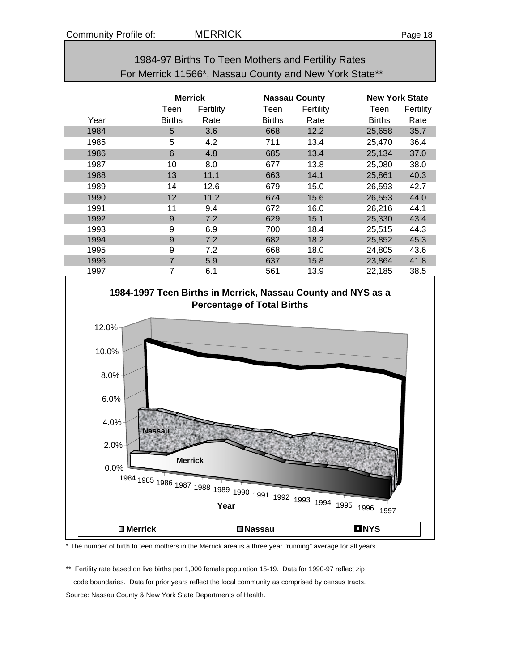| 1984-97 Births To Teen Mothers and Fertility Rates     |  |
|--------------------------------------------------------|--|
| For Merrick 11566*, Nassau County and New York State** |  |

|      | <b>Merrick</b> |           |        | <b>Nassau County</b> |               | <b>New York State</b> |  |
|------|----------------|-----------|--------|----------------------|---------------|-----------------------|--|
|      | Teen           | Fertility | Teen   | Fertility            | Teen          | Fertility             |  |
| Year | <b>Births</b>  | Rate      | Births | Rate                 | <b>Births</b> | Rate                  |  |
| 1984 | 5              | 3.6       | 668    | 12.2                 | 25,658        | 35.7                  |  |
| 1985 | 5              | 4.2       | 711    | 13.4                 | 25,470        | 36.4                  |  |
| 1986 | 6              | 4.8       | 685    | 13.4                 | 25,134        | 37.0                  |  |
| 1987 | 10             | 8.0       | 677    | 13.8                 | 25,080        | 38.0                  |  |
| 1988 | 13             | 11.1      | 663    | 14.1                 | 25,861        | 40.3                  |  |
| 1989 | 14             | 12.6      | 679    | 15.0                 | 26,593        | 42.7                  |  |
| 1990 | 12             | 11.2      | 674    | 15.6                 | 26,553        | 44.0                  |  |
| 1991 | 11             | 9.4       | 672    | 16.0                 | 26,216        | 44.1                  |  |
| 1992 | 9              | 7.2       | 629    | 15.1                 | 25,330        | 43.4                  |  |
| 1993 | 9              | 6.9       | 700    | 18.4                 | 25,515        | 44.3                  |  |
| 1994 | 9              | 7.2       | 682    | 18.2                 | 25,852        | 45.3                  |  |
| 1995 | 9              | 7.2       | 668    | 18.0                 | 24,805        | 43.6                  |  |
| 1996 | $\overline{7}$ | 5.9       | 637    | 15.8                 | 23,864        | 41.8                  |  |
| 1997 | 7              | 6.1       | 561    | 13.9                 | 22,185        | 38.5                  |  |



\* The number of birth to teen mothers in the Merrick area is a three year "running" average for all years.

\*\* Fertility rate based on live births per 1,000 female population 15-19. Data for 1990-97 reflect zip code boundaries. Data for prior years reflect the local community as comprised by census tracts. Source: Nassau County & New York State Departments of Health.